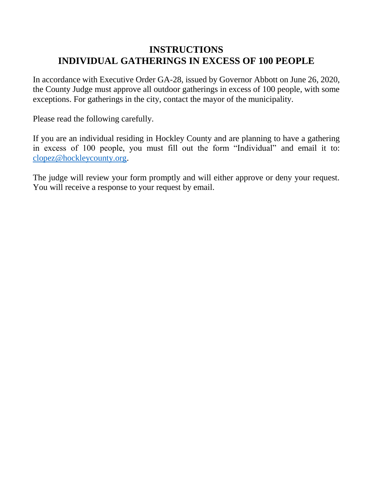## **INSTRUCTIONS INDIVIDUAL GATHERINGS IN EXCESS OF 100 PEOPLE**

In accordance with Executive Order GA-28, issued by Governor Abbott on June 26, 2020, the County Judge must approve all outdoor gatherings in excess of 100 people, with some exceptions. For gatherings in the city, contact the mayor of the municipality.

Please read the following carefully.

If you are an individual residing in Hockley County and are planning to have a gathering in excess of 100 people, you must fill out the form "Individual" and email it to: [clopez@hockleycounty.org.](mailto:clopez@hockleycounty.org)

The judge will review your form promptly and will either approve or deny your request. You will receive a response to your request by email.